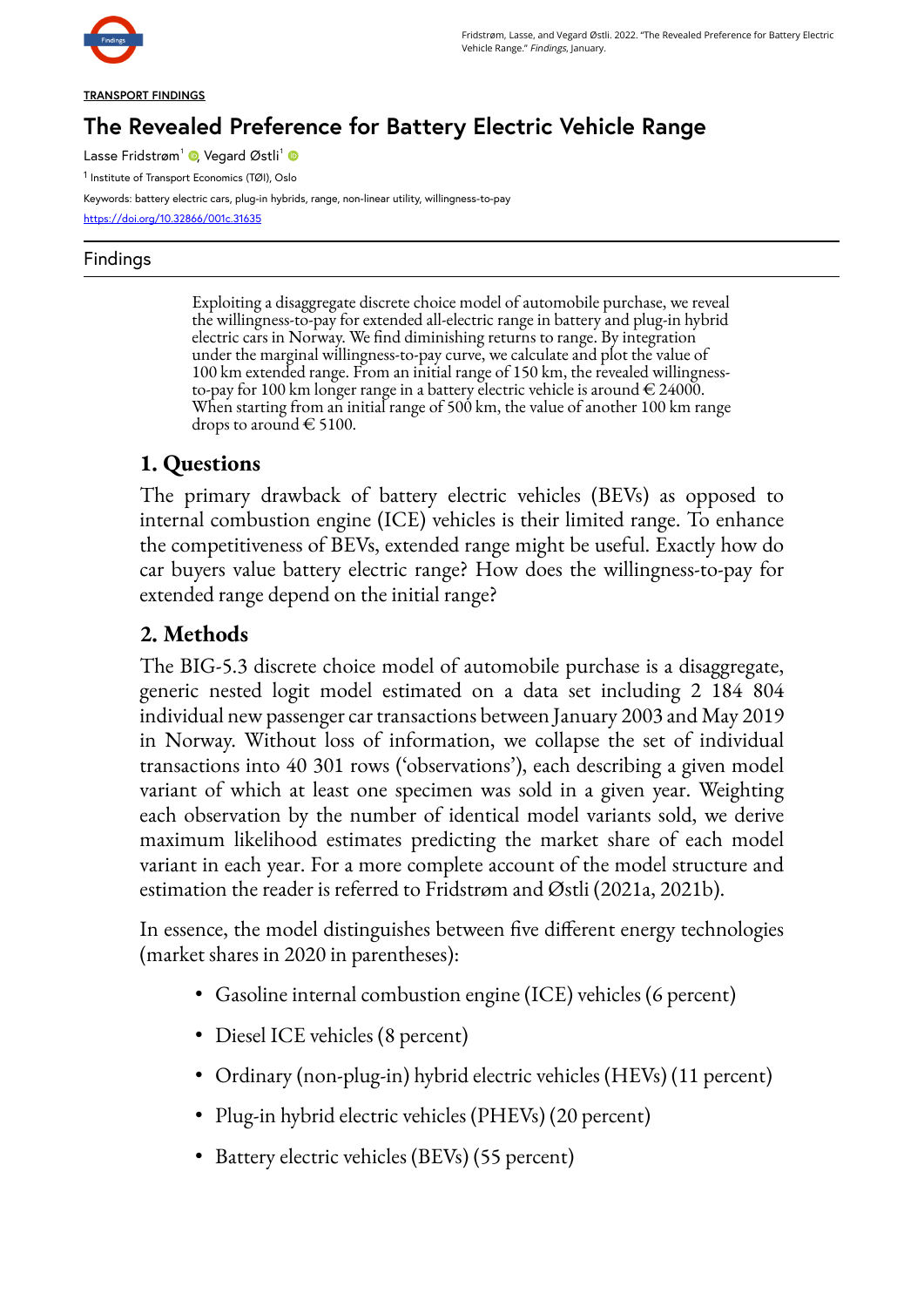

#### **TRANSPORT FINDINGS**

# **The Revealed Preference for Battery Electric Vehicle Range**

Lasse Fridstrøm<sup>1</sup> ©[,](https://orcid.org/0000-0001-9205-7992) Vegard Østli<sup>1</sup>

1 Institute of Transport Economics (TØI), Oslo

Keywords: battery electric cars, plug-in hybrids, range, non-linear utility, willingness-to-pay <https://doi.org/10.32866/001c.31635>

#### Findings

Exploiting a disaggregate discrete choice model of automobile purchase, we reveal the willingness-to-pay for extended all-electric range in battery and plug-in hybrid electric cars in Norway. We find diminishing returns to range. By integration under the marginal willingness-to-pay curve, we calculate and plot the value of 100 km extended range. From an initial range of 150 km, the revealed willingnessto-pay for 100 km longer range in a battery electric vehicle is around  $\in$  24000. When starting from an initial range of 500 km, the value of another 100 km range drops to around  $\in$  5100.

### **1. Questions**

The primary drawback of battery electric vehicles (BEVs) as opposed to internal combustion engine (ICE) vehicles is their limited range. To enhance the competitiveness of BEVs, extended range might be useful. Exactly how do car buyers value battery electric range? How does the willingness-to-pay for extended range depend on the initial range?

## **2. Methods**

The BIG-5.3 discrete choice model of automobile purchase is a disaggregate, generic nested logit model estimated on a data set including 2 184 804 individual new passenger car transactions between January 2003 and May 2019 in Norway. Without loss of information, we collapse the set of individual transactions into 40 301 rows ('observations'), each describing a given model variant of which at least one specimen was sold in a given year. Weighting each observation by the number of identical model variants sold, we derive maximum likelihood estimates predicting the market share of each model variant in each year. For a more complete account of the model structure and estimation the reader is referred to Fridstrøm and Østli (2021a, 2021b).

In essence, the model distinguishes between five different energy technologies (market shares in 2020 in parentheses):

- Gasoline internal combustion engine (ICE) vehicles (6 percent)
- Diesel ICE vehicles (8 percent)
- Ordinary (non-plug-in) hybrid electric vehicles (HEVs) (11 percent)
- Plug-in hybrid electric vehicles (PHEVs) (20 percent)
- Battery electric vehicles (BEVs) (55 percent)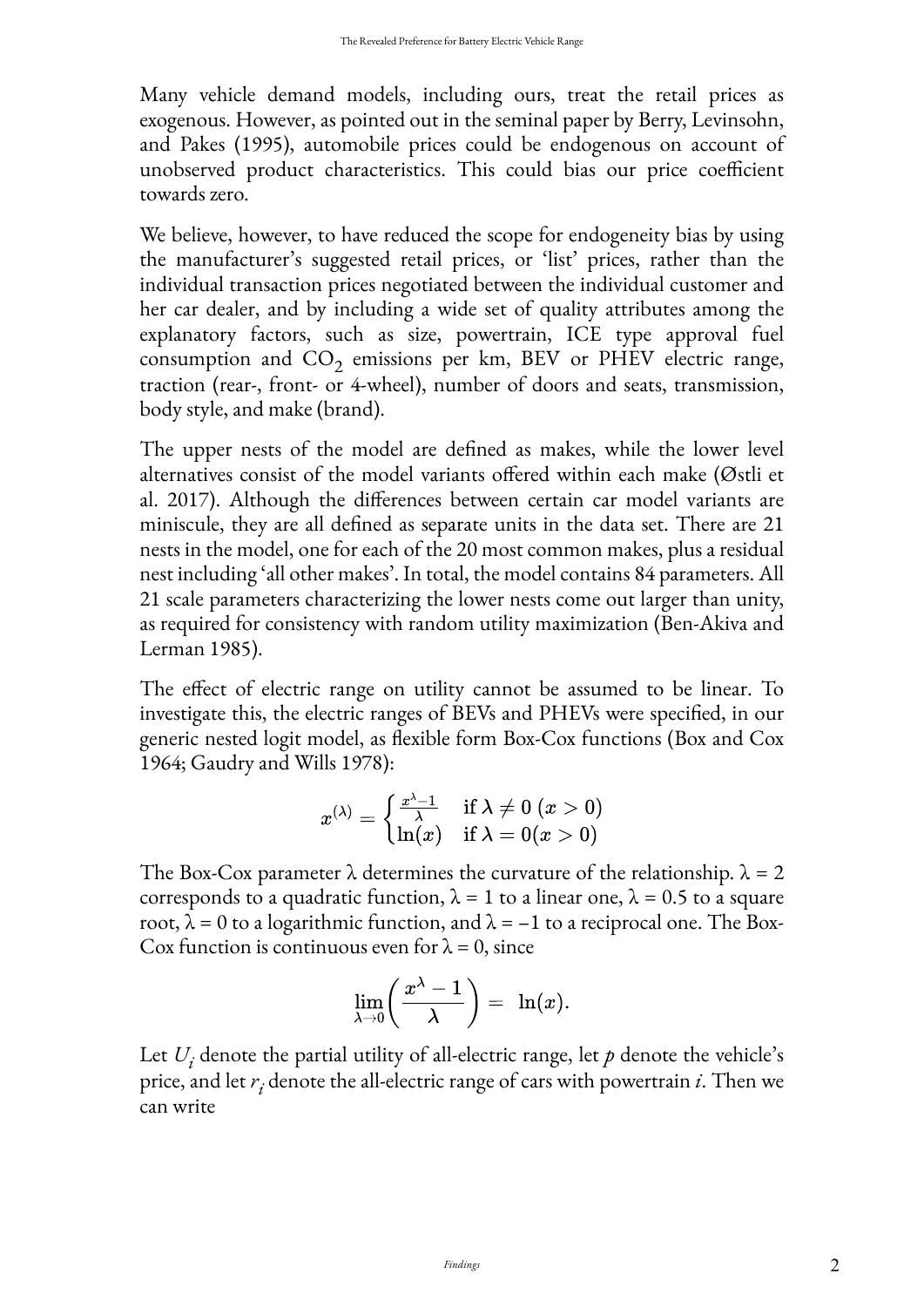Many vehicle demand models, including ours, treat the retail prices as exogenous. However, as pointed out in the seminal paper by Berry, Levinsohn, and Pakes (1995), automobile prices could be endogenous on account of unobserved product characteristics. This could bias our price coefficient towards zero.

We believe, however, to have reduced the scope for endogeneity bias by using the manufacturer's suggested retail prices, or 'list' prices, rather than the individual transaction prices negotiated between the individual customer and her car dealer, and by including a wide set of quality attributes among the explanatory factors, such as size, powertrain, ICE type approval fuel consumption and  $CO_2$  emissions per km, BEV or PHEV electric range, traction (rear-, front- or 4-wheel), number of doors and seats, transmission, body style, and make (brand).

The upper nests of the model are defined as makes, while the lower level alternatives consist of the model variants offered within each make (Østli et al. 2017). Although the differences between certain car model variants are miniscule, they are all defined as separate units in the data set. There are 21 nests in the model, one for each of the 20 most common makes, plus a residual nest including 'all other makes'. In total, the model contains 84 parameters. All 21 scale parameters characterizing the lower nests come out larger than unity, as required for consistency with random utility maximization (Ben-Akiva and Lerman 1985).

The effect of electric range on utility cannot be assumed to be linear. To investigate this, the electric ranges of BEVs and PHEVs were specified, in our generic nested logit model, as flexible form Box-Cox functions (Box and Cox 1964; Gaudry and Wills 1978):

$$
x^{(\lambda)} = \begin{cases} \frac{x^{\lambda} - 1}{\lambda} & \text{if } \lambda \neq 0 \ (x > 0) \\ \ln(x) & \text{if } \lambda = 0 (x > 0) \end{cases}
$$

The Box-Cox parameter  $\lambda$  determines the curvature of the relationship.  $\lambda = 2$ corresponds to a quadratic function,  $\lambda = 1$  to a linear one,  $\lambda = 0.5$  to a square root,  $\lambda = 0$  to a logarithmic function, and  $\lambda = -1$  to a reciprocal one. The Box-Cox function is continuous even for  $\lambda = 0$ , since

$$
\lim_{\lambda\to 0}\biggl(\frac{x^\lambda-1}{\lambda}\biggr)=\ \ln(x).
$$

Let  $U_i$  denote the partial utility of all-electric range, let  $p$  denote the vehicle's price, and let *r i* denote the all-electric range of cars with powertrain *i*. Then we can write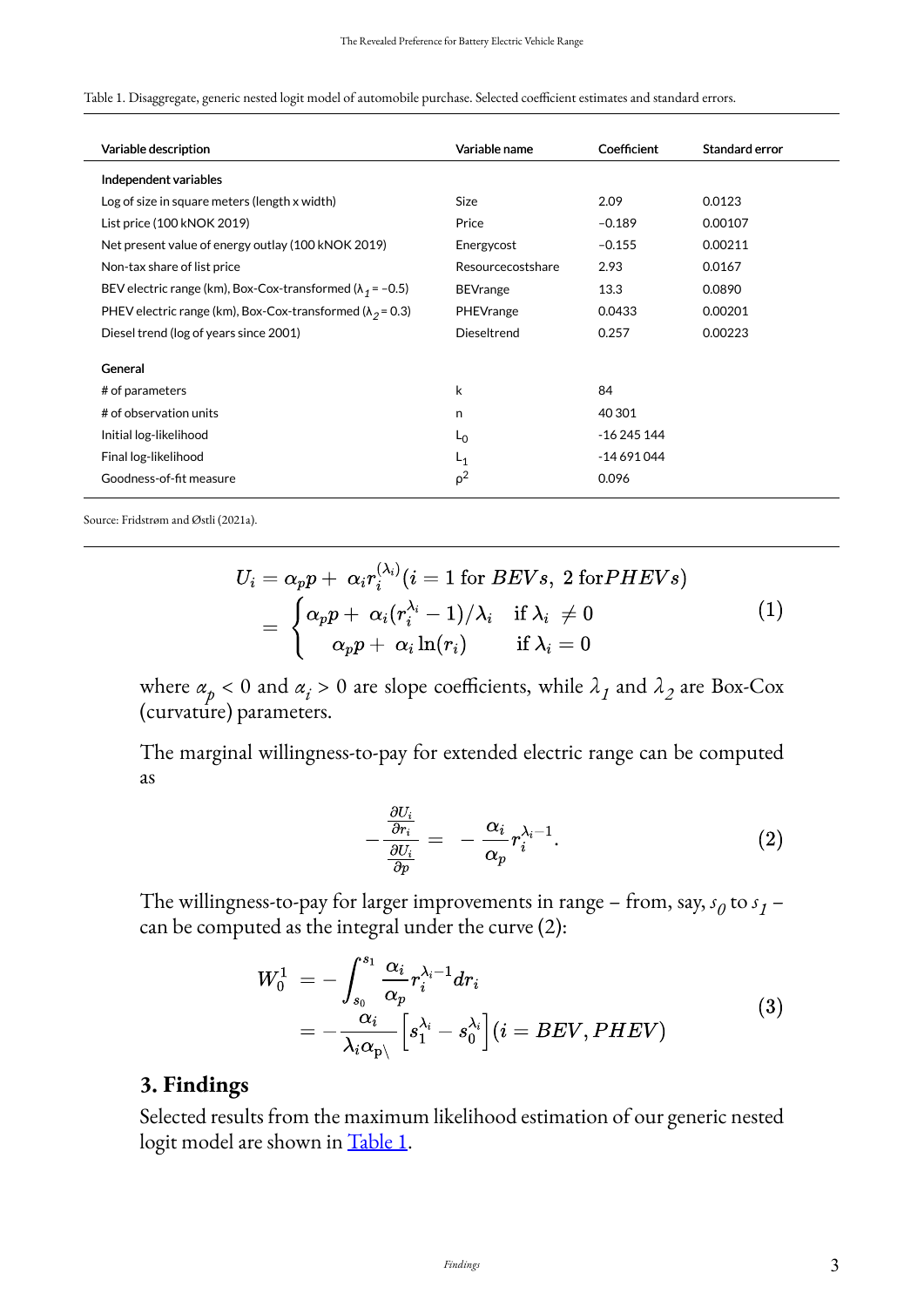<span id="page-2-0"></span>

|  | Table 1. Disaggregate, generic nested logit model of automobile purchase. Selected coefficient estimates and standard errors. |  |  |  |  |
|--|-------------------------------------------------------------------------------------------------------------------------------|--|--|--|--|
|  |                                                                                                                               |  |  |  |  |

| Variable description                                               | Variable name     | Coefficient | Standard error |
|--------------------------------------------------------------------|-------------------|-------------|----------------|
| Independent variables                                              |                   |             |                |
| Log of size in square meters (length x width)                      | <b>Size</b>       | 2.09        | 0.0123         |
| List price (100 kNOK 2019)                                         | Price             | $-0.189$    | 0.00107        |
| Net present value of energy outlay (100 kNOK 2019)                 | Energycost        | $-0.155$    | 0.00211        |
| Non-tax share of list price                                        | Resourcecostshare | 2.93        | 0.0167         |
| BEV electric range (km), Box-Cox-transformed ( $\lambda_1$ = -0.5) | <b>BEVrange</b>   | 13.3        | 0.0890         |
| PHEV electric range (km), Box-Cox-transformed ( $\lambda_2$ = 0.3) | PHEVrange         | 0.0433      | 0.00201        |
| Diesel trend (log of years since 2001)                             | Dieseltrend       | 0.257       | 0.00223        |
| General                                                            |                   |             |                |
| # of parameters                                                    | k                 | 84          |                |
| # of observation units                                             | n                 | 40 30 1     |                |
| Initial log-likelihood                                             | $L_0$             | -16 245 144 |                |
| Final log-likelihood                                               | $L_{1}$           | $-14691044$ |                |
| Goodness-of-fit measure                                            | $\rho^2$          | 0.096       |                |
|                                                                    |                   |             |                |

Source: Fridstrøm and Østli (2021a).

$$
U_i = \alpha_p p + \alpha_i r_i^{(\lambda_i)} (i=1 \text{ for } BEVs, \ 2 \text{ for } PHEVs)\\ = \begin{cases} \alpha_p p + \alpha_i (r_i^{\lambda_i}-1)/\lambda_i & \text{if } \lambda_i \neq 0 \\ \alpha_p p + \alpha_i \ln(r_i) & \text{if } \lambda_i = 0 \end{cases} \tag{1}
$$

where  $\alpha_p < 0$  and  $\alpha_i > 0$  are slope coefficients, while  $\lambda_1$  and  $\lambda_2$  are Box-Cox (curvature) parameters.

The marginal willingness-to-pay for extended electric range can be computed as

$$
-\frac{\frac{\partial U_i}{\partial r_i}}{\frac{\partial U_i}{\partial n}} = -\frac{\alpha_i}{\alpha_p} r_i^{\lambda_i - 1}.
$$
 (2)

The willingness-to-pay for larger improvements in range – from, say,  $s_0$  to  $s_1$  – can be computed as the integral under the curve (2):

$$
W_0^1 = -\int_{s_0}^{s_1} \frac{\alpha_i}{\alpha_p} r_i^{\lambda_i - 1} dr_i
$$
  
= 
$$
-\frac{\alpha_i}{\lambda_i \alpha_p} \left[ s_1^{\lambda_i} - s_0^{\lambda_i} \right] (i = BEV, PHEV)
$$
 (3)

### **3. Findings**

Selected results from the maximum likelihood estimation of our generic nested logit model are shown in [Table 1.](#page-2-0)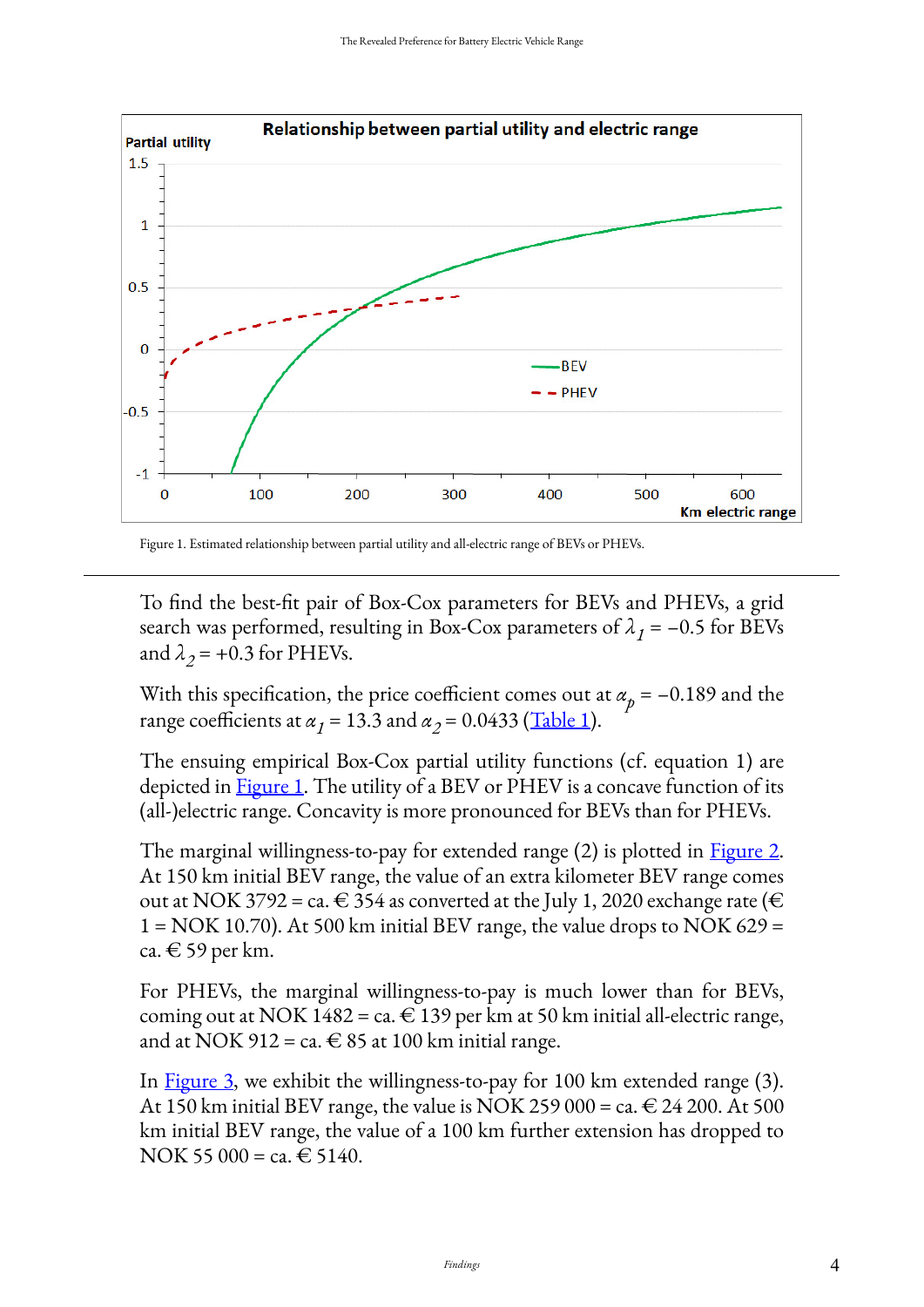

Figure 1. Estimated relationship between partial utility and all-electric range of BEVs or PHEVs.

To find the best-fit pair of Box-Cox parameters for BEVs and PHEVs, a grid search was performed, resulting in Box-Cox parameters of  $\lambda_1 = -0.5$  for BEVs and  $\lambda_2$  = +0.3 for PHEVs.

With this specification, the price coefficient comes out at  $\alpha_p = -0.189$  and the range coefficients at  $\alpha_1 = 13.3$  and  $\alpha_2 = 0.0433$  (<u>[Table 1](#page-2-0)</u>).

The ensuing empirical Box-Cox partial utility functions (cf. equation 1) are depicted in **Figure 1**. The utility of a BEV or PHEV is a concave function of its (all-)electric range. Concavity is more pronounced for BEVs than for PHEVs.

The marginal willingness-to-pay for extended range (2) is plotted in [Figure 2](#page-4-0). At 150 km initial BEV range, the value of an extra kilometer BEV range comes out at NOK 3792 = ca.  $\in$  354 as converted at the July 1, 2020 exchange rate ( $\in$  $1 = NOK 10.70$ ). At 500 km initial BEV range, the value drops to NOK 629 = ca. € 59 per km.

For PHEVs, the marginal willingness-to-pay is much lower than for BEVs, coming out at NOK 1482 = ca.  $\in$  139 per km at 50 km initial all-electric range, and at NOK 912 = ca.  $\in$  85 at 100 km initial range.

In [Figure 3,](#page-4-1) we exhibit the willingness-to-pay for 100 km extended range (3). At 150 km initial BEV range, the value is NOK 259 000 = ca.  $\in$  24 200. At 500 km initial BEV range, the value of a 100 km further extension has dropped to NOK 55 000 = ca.  $\in$  5140.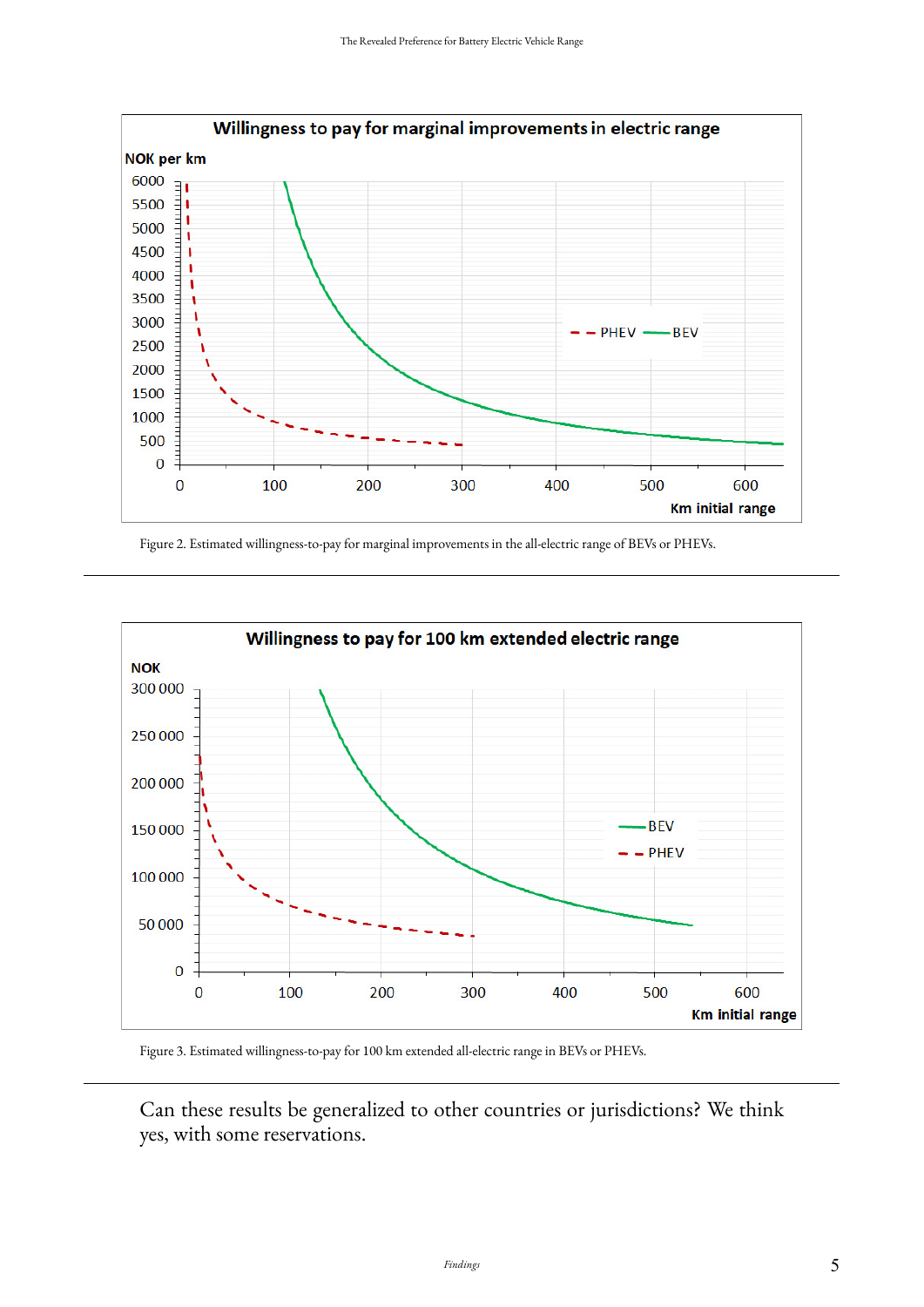<span id="page-4-0"></span>

Figure 2. Estimated willingness-to-pay for marginal improvements in the all-electric range of BEVs or PHEVs.

<span id="page-4-1"></span>

Figure 3. Estimated willingness-to-pay for 100 km extended all-electric range in BEVs or PHEVs.

Can these results be generalized to other countries or jurisdictions? We think yes, with some reservations.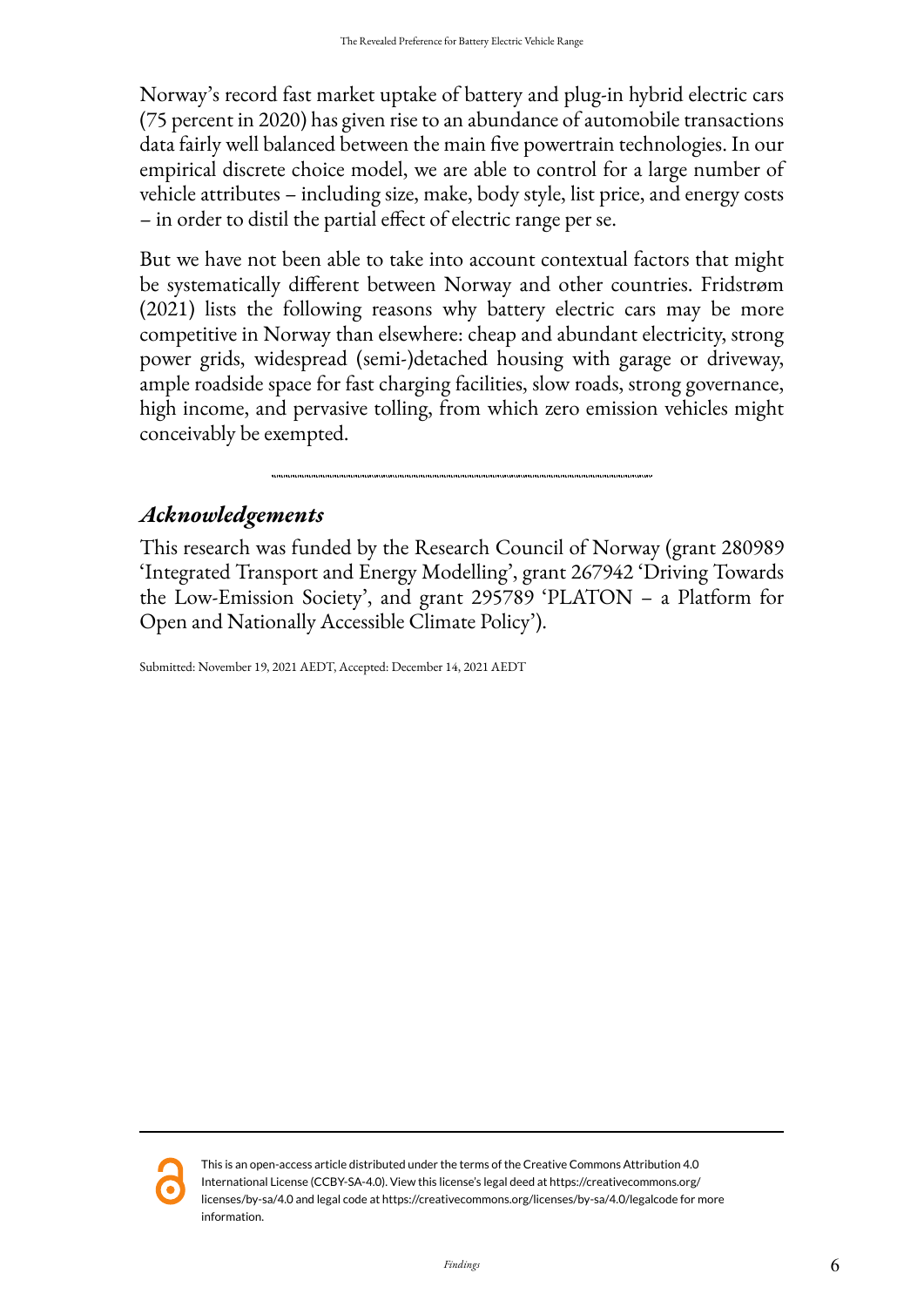Norway's record fast market uptake of battery and plug-in hybrid electric cars (75 percent in 2020) has given rise to an abundance of automobile transactions data fairly well balanced between the main five powertrain technologies. In our empirical discrete choice model, we are able to control for a large number of vehicle attributes – including size, make, body style, list price, and energy costs – in order to distil the partial effect of electric range per se.

But we have not been able to take into account contextual factors that might be systematically different between Norway and other countries. Fridstrøm (2021) lists the following reasons why battery electric cars may be more competitive in Norway than elsewhere: cheap and abundant electricity, strong power grids, widespread (semi-)detached housing with garage or driveway, ample roadside space for fast charging facilities, slow roads, strong governance, high income, and pervasive tolling, from which zero emission vehicles might conceivably be exempted.

## *Acknowledgements*

This research was funded by the Research Council of Norway (grant 280989 'Integrated Transport and Energy Modelling', grant 267942 'Driving Towards the Low-Emission Society', and grant 295789 'PLATON – a Platform for Open and Nationally Accessible Climate Policy').

Submitted: November 19, 2021 AEDT, Accepted: December 14, 2021 AEDT



This is an open-access article distributed under the terms of the Creative Commons Attribution 4.0 International License (CCBY-SA-4.0). View this license's legal deed at https://creativecommons.org/ licenses/by-sa/4.0 and legal code at https://creativecommons.org/licenses/by-sa/4.0/legalcode for more information.